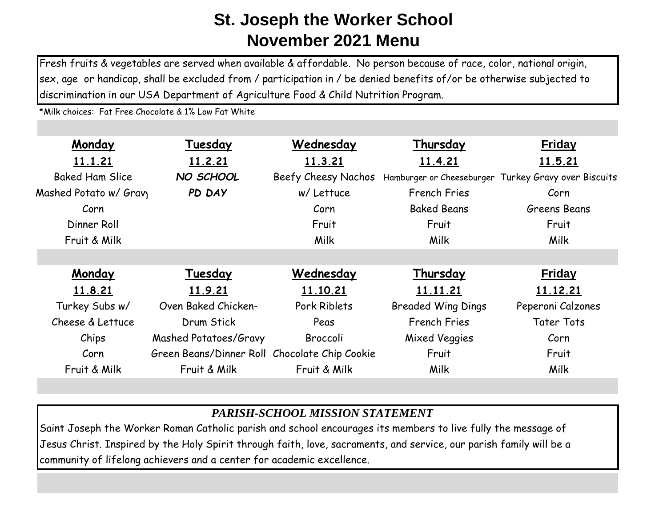Fresh fruits & vegetables are served when available & affordable. No person because of race, color, national origin, sex, age or handicap, shall be excluded from / participation in / be denied benefits of/or be otherwise subjected to discrimination in our USA Department of Agriculture Food & Child Nutrition Program.

\*Milk choices: Fat Free Chocolate & 1% Low Fat White

| Monday                 | Tuesday                                       | Wednesday           | Thursday                  | <b>Friday</b>                                        |
|------------------------|-----------------------------------------------|---------------------|---------------------------|------------------------------------------------------|
| 11.1.21                | 11.2.21                                       | 11.3.21             | 11.4.21                   | 11.5.21                                              |
| <b>Baked Ham Slice</b> | NO SCHOOL                                     | Beefy Cheesy Nachos |                           | Hamburger or Cheeseburger Turkey Gravy over Biscuits |
| Mashed Potato w/ Gray  | PD DAY                                        | w/ Lettuce          | <b>French Fries</b>       | Corn                                                 |
| Corn                   |                                               | Corn                | <b>Baked Beans</b>        | Greens Beans                                         |
| Dinner Roll            |                                               | Fruit               | Fruit                     | Fruit                                                |
| Fruit & Milk           |                                               | Milk                | <b>Milk</b>               | Milk                                                 |
|                        |                                               |                     |                           |                                                      |
| Monday                 | Tuesday                                       | Wednesday           | Thursday                  | <b>Friday</b>                                        |
| 11.8.21                | 11.9.21                                       | 11.10.21            | 11.11.21                  | 11.12.21                                             |
| Turkey Subs w/         | Oven Baked Chicken-                           | Pork Riblets        | <b>Breaded Wing Dings</b> | Peperoni Calzones                                    |
| Cheese & Lettuce       | Drum Stick                                    | Peas                | <b>French Fries</b>       | <b>Tater Tots</b>                                    |
| Chips                  | Mashed Potatoes/Gravy                         | Broccoli            | Mixed Veggies             | Corn                                                 |
| Corn                   | Green Beans/Dinner Roll Chocolate Chip Cookie |                     | Fruit                     | Fruit                                                |
| Fruit & Milk           | Fruit & Milk                                  | Fruit & Milk        | Milk                      | Milk                                                 |

## *PARISH-SCHOOL MISSION STATEMENT*

Saint Joseph the Worker Roman Catholic parish and school encourages its members to live fully the message of Jesus Christ. Inspired by the Holy Spirit through faith, love, sacraments, and service, our parish family will be a community of lifelong achievers and a center for academic excellence.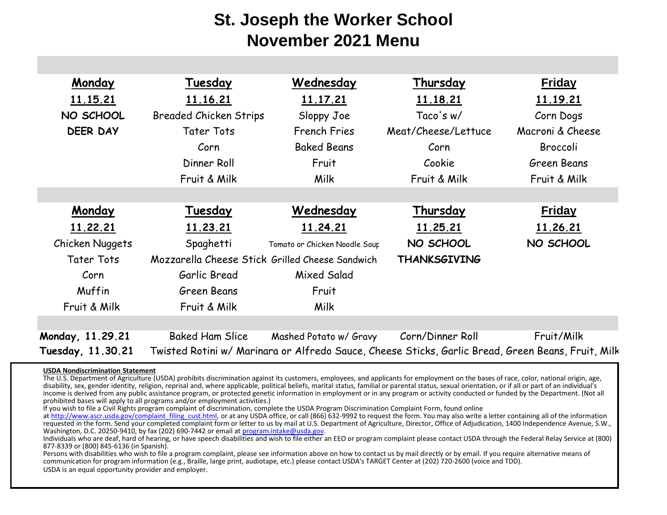| Monday            | Tuesday                                         | Wednesday                     | Thursday            | <b>Friday</b>                                                                                      |
|-------------------|-------------------------------------------------|-------------------------------|---------------------|----------------------------------------------------------------------------------------------------|
| 11.15.21          | 11.16.21                                        | 11.17.21                      | 11.18.21            | 11.19.21                                                                                           |
| NO SCHOOL         | <b>Breaded Chicken Strips</b>                   | Sloppy Joe                    | Taco's w/           | Corn Dogs                                                                                          |
| <b>DEER DAY</b>   | <b>Tater Tots</b>                               | <b>French Fries</b>           | Meat/Cheese/Lettuce | Macroni & Cheese                                                                                   |
|                   | Corn                                            | <b>Baked Beans</b>            | Corn                | Broccoli                                                                                           |
|                   | Dinner Roll                                     | Fruit                         | Cookie              | Green Beans                                                                                        |
|                   | Fruit & Milk                                    | Milk                          | Fruit & Milk        | Fruit & Milk                                                                                       |
|                   |                                                 |                               |                     |                                                                                                    |
| Monday            | Tuesday                                         | Wednesday                     | Thursday            | <b>Friday</b>                                                                                      |
| 11.22.21          | 11.23.21                                        | 11.24.21                      | 11.25.21            | <u>11.26.21</u>                                                                                    |
| Chicken Nuggets   | Spaghetti                                       | Tomato or Chicken Noodle Soup | NO SCHOOL           | NO SCHOOL                                                                                          |
| <b>Tater Tots</b> | Mozzarella Cheese Stick Grilled Cheese Sandwich |                               | <b>THANKSGIVING</b> |                                                                                                    |
| Corn              | Garlic Bread                                    | Mixed Salad                   |                     |                                                                                                    |
| Muffin            | Green Beans                                     | Fruit                         |                     |                                                                                                    |
| Fruit & Milk      | Fruit & Milk                                    | Milk                          |                     |                                                                                                    |
|                   |                                                 |                               |                     |                                                                                                    |
| Monday, 11.29.21  | <b>Baked Ham Slice</b>                          | Mashed Potato w/ Gravy        | Corn/Dinner Roll    | Fruit/Milk                                                                                         |
| Tuesday, 11.30.21 |                                                 |                               |                     | Twisted Rotini w/ Marinara or Alfredo Sauce, Cheese Sticks, Garlic Bread, Green Beans, Fruit, Milk |

## **USDA Nondiscrimination Statement**

The U.S. Department of Agriculture (USDA) prohibits discrimination against its customers, employees, and applicants for employment on the bases of race, color, national origin, age, disability, sex, gender identity, religion, reprisal and, where applicable, political beliefs, marital status, familial or parental status, sexual orientation, or if all or part of an individual's income is derived from any public assistance program, or protected genetic information in employment or in any program or activity conducted or funded by the Department. (Not all prohibited bases will apply to all programs and/or employment activities.)

If you wish to file a Civil Rights program complaint of discrimination, complete the USDA Program Discrimination Complaint Form, found online

at http://www.ascr.usda.gov/complaint\_filing\_cust.html, or at any USDA office, or call (866) 632-9992 to request the form. You may also write a letter containing all of the information requested in the form. Send your completed complaint form or letter to us by mail at U.S. Department of Agriculture, Director, Office of Adjudication, 1400 Independence Avenue, S.W., Washington, D.C. 20250-9410, by fax (202) 690-7442 or email at program.intake@usda.gov.

Individuals who are deaf, hard of hearing, or have speech disabilities and wish to file either an EEO or program complaint please contact USDA through the Federal Relay Service at (800) 877-8339 or (800) 845-6136 (in Spanish).

Persons with disabilities who wish to file a program complaint, please see information above on how to contact us by mail directly or by email. If you require alternative means of communication for program information (e.g., Braille, large print, audiotape, etc.) please contact USDA's TARGET Center at (202) 720-2600 (voice and TDD). USDA is an equal opportunity provider and employer.